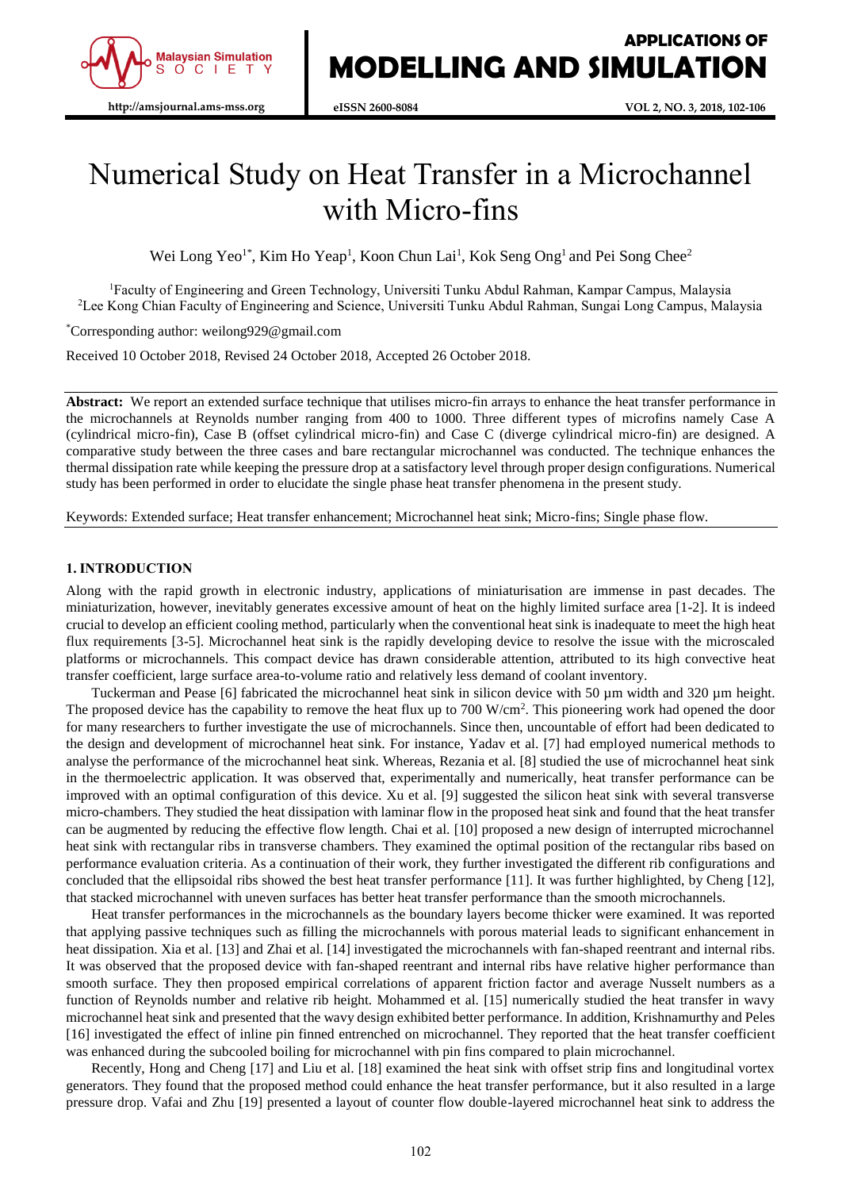

# Numerical Study on Heat Transfer in a Microchannel with Micro-fins

Wei Long Yeo<sup>1\*</sup>, Kim Ho Yeap<sup>1</sup>, Koon Chun Lai<sup>1</sup>, Kok Seng Ong<sup>1</sup> and Pei Song Chee<sup>2</sup>

<sup>1</sup>Faculty of Engineering and Green Technology, Universiti Tunku Abdul Rahman, Kampar Campus, Malaysia <sup>2</sup>Lee Kong Chian Faculty of Engineering and Science, Universiti Tunku Abdul Rahman, Sungai Long Campus, Malaysia

\*Corresponding author: weilong929@gmail.com

Received 10 October 2018, Revised 24 October 2018, Accepted 26 October 2018.

**Abstract:** We report an extended surface technique that utilises micro-fin arrays to enhance the heat transfer performance in the microchannels at Reynolds number ranging from 400 to 1000. Three different types of microfins namely Case A (cylindrical micro-fin), Case B (offset cylindrical micro-fin) and Case C (diverge cylindrical micro-fin) are designed. A comparative study between the three cases and bare rectangular microchannel was conducted. The technique enhances the thermal dissipation rate while keeping the pressure drop at a satisfactory level through proper design configurations. Numerical study has been performed in order to elucidate the single phase heat transfer phenomena in the present study.

Keywords: Extended surface; Heat transfer enhancement; Microchannel heat sink; Micro-fins; Single phase flow.

## **1. INTRODUCTION**

Along with the rapid growth in electronic industry, applications of miniaturisation are immense in past decades. The miniaturization, however, inevitably generates excessive amount of heat on the highly limited surface area [1-2]. It is indeed crucial to develop an efficient cooling method, particularly when the conventional heat sink is inadequate to meet the high heat flux requirements [3-5]. Microchannel heat sink is the rapidly developing device to resolve the issue with the microscaled platforms or microchannels. This compact device has drawn considerable attention, attributed to its high convective heat transfer coefficient, large surface area-to-volume ratio and relatively less demand of coolant inventory.

Tuckerman and Pease [6] fabricated the microchannel heat sink in silicon device with 50  $\mu$ m width and 320  $\mu$ m height. The proposed device has the capability to remove the heat flux up to  $700 \text{ W/cm}^2$ . This pioneering work had opened the door for many researchers to further investigate the use of microchannels. Since then, uncountable of effort had been dedicated to the design and development of microchannel heat sink. For instance, Yadav et al. [7] had employed numerical methods to analyse the performance of the microchannel heat sink. Whereas, Rezania et al. [8] studied the use of microchannel heat sink in the thermoelectric application. It was observed that, experimentally and numerically, heat transfer performance can be improved with an optimal configuration of this device. Xu et al. [9] suggested the silicon heat sink with several transverse micro-chambers. They studied the heat dissipation with laminar flow in the proposed heat sink and found that the heat transfer can be augmented by reducing the effective flow length. Chai et al. [10] proposed a new design of interrupted microchannel heat sink with rectangular ribs in transverse chambers. They examined the optimal position of the rectangular ribs based on performance evaluation criteria. As a continuation of their work, they further investigated the different rib configurations and concluded that the ellipsoidal ribs showed the best heat transfer performance [11]. It was further highlighted, by Cheng [12], that stacked microchannel with uneven surfaces has better heat transfer performance than the smooth microchannels.

Heat transfer performances in the microchannels as the boundary layers become thicker were examined. It was reported that applying passive techniques such as filling the microchannels with porous material leads to significant enhancement in heat dissipation. Xia et al. [13] and Zhai et al. [14] investigated the microchannels with fan-shaped reentrant and internal ribs. It was observed that the proposed device with fan-shaped reentrant and internal ribs have relative higher performance than smooth surface. They then proposed empirical correlations of apparent friction factor and average Nusselt numbers as a function of Reynolds number and relative rib height. Mohammed et al. [15] numerically studied the heat transfer in wavy microchannel heat sink and presented that the wavy design exhibited better performance. In addition, Krishnamurthy and Peles [16] investigated the effect of inline pin finned entrenched on microchannel. They reported that the heat transfer coefficient was enhanced during the subcooled boiling for microchannel with pin fins compared to plain microchannel.

Recently, Hong and Cheng [17] and Liu et al. [18] examined the heat sink with offset strip fins and longitudinal vortex generators. They found that the proposed method could enhance the heat transfer performance, but it also resulted in a large pressure drop. Vafai and Zhu [19] presented a layout of counter flow double-layered microchannel heat sink to address the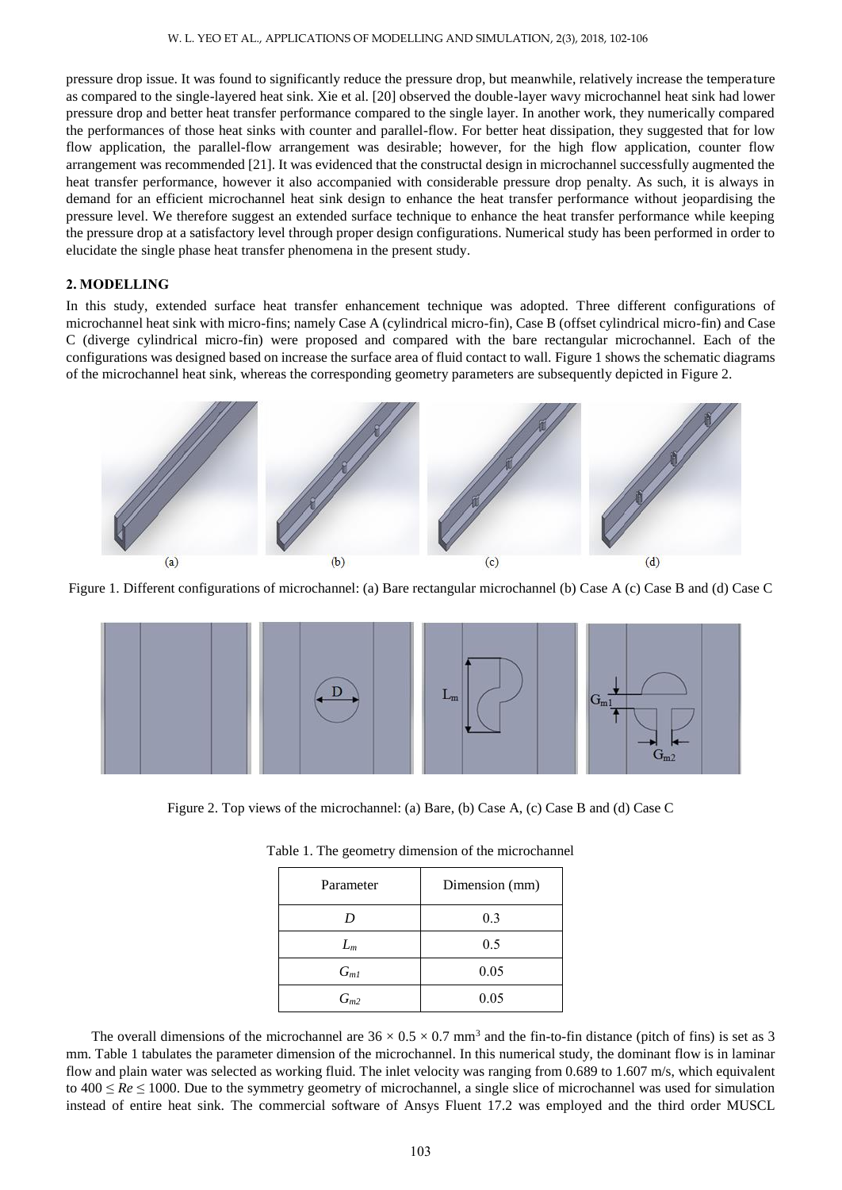pressure drop issue. It was found to significantly reduce the pressure drop, but meanwhile, relatively increase the temperature as compared to the single-layered heat sink. Xie et al. [20] observed the double-layer wavy microchannel heat sink had lower pressure drop and better heat transfer performance compared to the single layer. In another work, they numerically compared the performances of those heat sinks with counter and parallel-flow. For better heat dissipation, they suggested that for low flow application, the parallel-flow arrangement was desirable; however, for the high flow application, counter flow arrangement was recommended [21]. It was evidenced that the constructal design in microchannel successfully augmented the heat transfer performance, however it also accompanied with considerable pressure drop penalty. As such, it is always in demand for an efficient microchannel heat sink design to enhance the heat transfer performance without jeopardising the pressure level. We therefore suggest an extended surface technique to enhance the heat transfer performance while keeping the pressure drop at a satisfactory level through proper design configurations. Numerical study has been performed in order to elucidate the single phase heat transfer phenomena in the present study.

## **2. MODELLING**

In this study, extended surface heat transfer enhancement technique was adopted. Three different configurations of microchannel heat sink with micro-fins; namely Case A (cylindrical micro-fin), Case B (offset cylindrical micro-fin) and Case C (diverge cylindrical micro-fin) were proposed and compared with the bare rectangular microchannel. Each of the configurations was designed based on increase the surface area of fluid contact to wall. Figure 1 shows the schematic diagrams of the microchannel heat sink, whereas the corresponding geometry parameters are subsequently depicted in Figure 2.



Figure 1. Different configurations of microchannel: (a) Bare rectangular microchannel (b) Case A (c) Case B and (d) Case C



Figure 2. Top views of the microchannel: (a) Bare, (b) Case A, (c) Case B and (d) Case C

| Parameter | Dimension (mm) |  |
|-----------|----------------|--|
| D         | 0.3            |  |
| $L_m$     | 0.5            |  |
| $G_{m1}$  | 0.05           |  |
| $G_{m2}$  | 0.05           |  |

| Table 1. The geometry dimension of the microchannel |  |  |
|-----------------------------------------------------|--|--|
|-----------------------------------------------------|--|--|

The overall dimensions of the microchannel are  $36 \times 0.5 \times 0.7$  mm<sup>3</sup> and the fin-to-fin distance (pitch of fins) is set as 3 mm. Table 1 tabulates the parameter dimension of the microchannel. In this numerical study, the dominant flow is in laminar flow and plain water was selected as working fluid. The inlet velocity was ranging from 0.689 to 1.607 m/s, which equivalent to  $400 \le Re \le 1000$ . Due to the symmetry geometry of microchannel, a single slice of microchannel was used for simulation instead of entire heat sink. The commercial software of Ansys Fluent 17.2 was employed and the third order MUSCL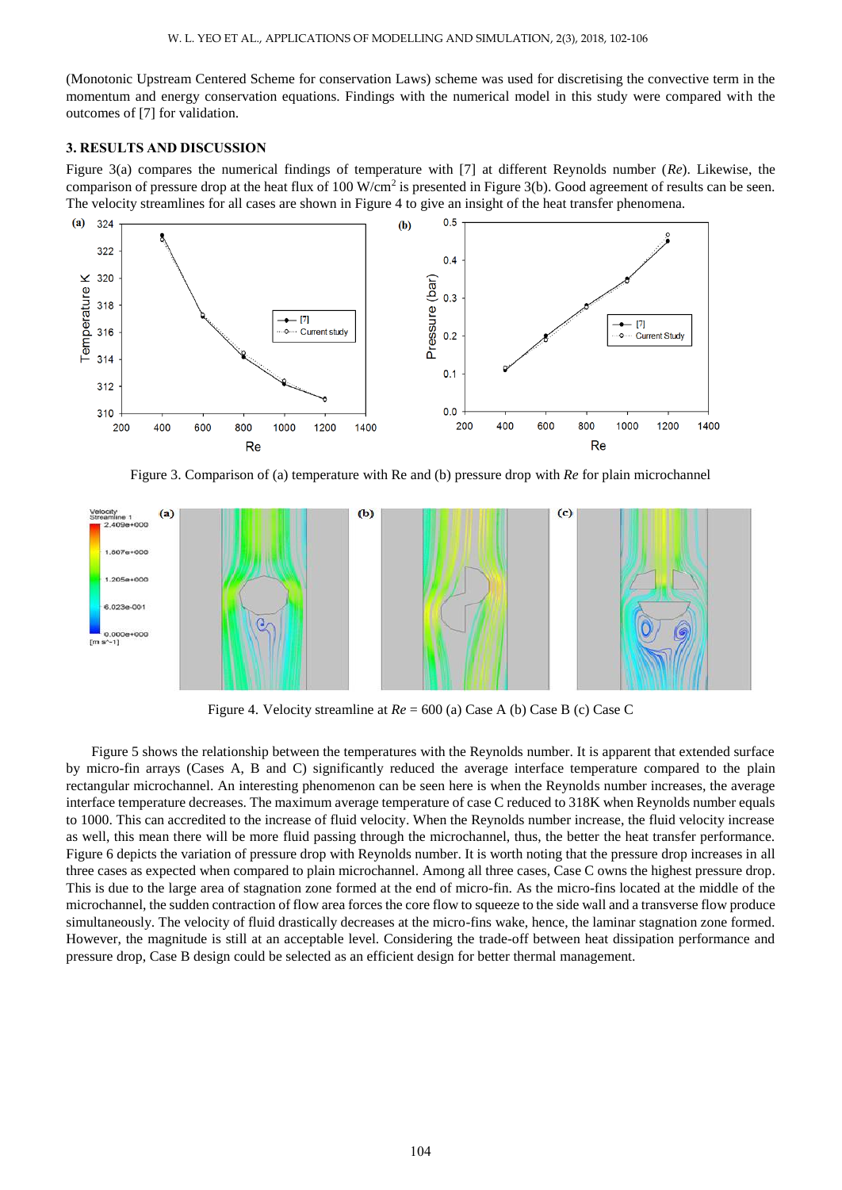(Monotonic Upstream Centered Scheme for conservation Laws) scheme was used for discretising the convective term in the momentum and energy conservation equations. Findings with the numerical model in this study were compared with the outcomes of [7] for validation.

# **3. RESULTS AND DISCUSSION**

Figure 3(a) compares the numerical findings of temperature with [7] at different Reynolds number (*Re*). Likewise, the comparison of pressure drop at the heat flux of  $100 \text{ W/cm}^2$  is presented in Figure 3(b). Good agreement of results can be seen. The velocity streamlines for all cases are shown in Figure 4 to give an insight of the heat transfer phenomena.



Figure 3. Comparison of (a) temperature with Re and (b) pressure drop with *Re* for plain microchannel



Figure 4. Velocity streamline at *Re* = 600 (a) Case A (b) Case B (c) Case C

Figure 5 shows the relationship between the temperatures with the Reynolds number. It is apparent that extended surface by micro-fin arrays (Cases A, B and C) significantly reduced the average interface temperature compared to the plain rectangular microchannel. An interesting phenomenon can be seen here is when the Reynolds number increases, the average interface temperature decreases. The maximum average temperature of case C reduced to 318K when Reynolds number equals to 1000. This can accredited to the increase of fluid velocity. When the Reynolds number increase, the fluid velocity increase as well, this mean there will be more fluid passing through the microchannel, thus, the better the heat transfer performance. Figure 6 depicts the variation of pressure drop with Reynolds number. It is worth noting that the pressure drop increases in all three cases as expected when compared to plain microchannel. Among all three cases, Case C owns the highest pressure drop. This is due to the large area of stagnation zone formed at the end of micro-fin. As the micro-fins located at the middle of the microchannel, the sudden contraction of flow area forces the core flow to squeeze to the side wall and a transverse flow produce simultaneously. The velocity of fluid drastically decreases at the micro-fins wake, hence, the laminar stagnation zone formed. However, the magnitude is still at an acceptable level. Considering the trade-off between heat dissipation performance and pressure drop, Case B design could be selected as an efficient design for better thermal management.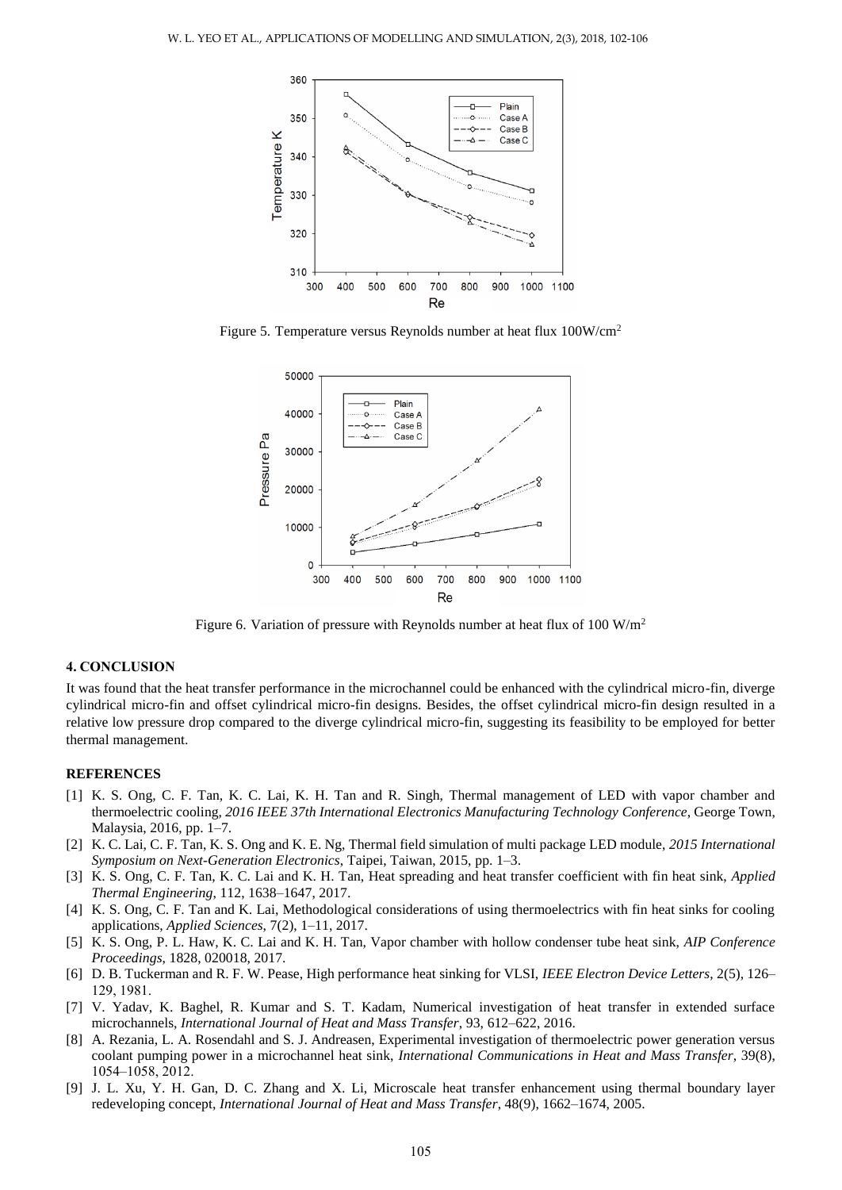

Figure 5. Temperature versus Reynolds number at heat flux 100W/cm<sup>2</sup>



Figure 6. Variation of pressure with Reynolds number at heat flux of 100 W/m<sup>2</sup>

#### **4. CONCLUSION**

It was found that the heat transfer performance in the microchannel could be enhanced with the cylindrical micro-fin, diverge cylindrical micro-fin and offset cylindrical micro-fin designs. Besides, the offset cylindrical micro-fin design resulted in a relative low pressure drop compared to the diverge cylindrical micro-fin, suggesting its feasibility to be employed for better thermal management.

#### **REFERENCES**

- [1] K. S. Ong, C. F. Tan, K. C. Lai, K. H. Tan and R. Singh, Thermal management of LED with vapor chamber and thermoelectric cooling, *2016 IEEE 37th International Electronics Manufacturing Technology Conference*, George Town, Malaysia, 2016, pp. 1–7.
- [2] K. C. Lai, C. F. Tan, K. S. Ong and K. E. Ng, Thermal field simulation of multi package LED module, *2015 International Symposium on Next-Generation Electronics*, Taipei, Taiwan, 2015, pp. 1–3.
- [3] K. S. Ong, C. F. Tan, K. C. Lai and K. H. Tan, Heat spreading and heat transfer coefficient with fin heat sink, *Applied Thermal Engineering*, 112, 1638–1647, 2017.
- [4] K. S. Ong, C. F. Tan and K. Lai, Methodological considerations of using thermoelectrics with fin heat sinks for cooling applications, *Applied Sciences*, 7(2), 1–11, 2017.
- [5] K. S. Ong, P. L. Haw, K. C. Lai and K. H. Tan, Vapor chamber with hollow condenser tube heat sink, *AIP Conference Proceedings*, 1828, 020018, 2017.
- [6] D. B. Tuckerman and R. F. W. Pease, High performance heat sinking for VLSI, *IEEE Electron Device Letters*, 2(5), 126– 129, 1981.
- [7] V. Yadav, K. Baghel, R. Kumar and S. T. Kadam, Numerical investigation of heat transfer in extended surface microchannels, *International Journal of Heat and Mass Transfer*, 93, 612–622, 2016.
- [8] A. Rezania, L. A. Rosendahl and S. J. Andreasen, Experimental investigation of thermoelectric power generation versus coolant pumping power in a microchannel heat sink, *International Communications in Heat and Mass Transfer*, 39(8), 1054–1058, 2012.
- [9] J. L. Xu, Y. H. Gan, D. C. Zhang and X. Li, Microscale heat transfer enhancement using thermal boundary layer redeveloping concept, *International Journal of Heat and Mass Transfer*, 48(9), 1662–1674, 2005.